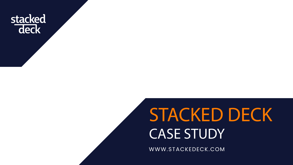

# **STACKED DECK CASE STUDY**

WWW.STACKEDECK.COM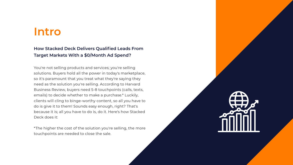# **Intro**

#### **How Stacked Deck Delivers Qualified Leads From Target Markets With a \$0/Month Ad Spend?**

You're not selling products and services; you're selling solutions. Buyers hold all the power in today's marketplace, so it's paramount that you treat what they're saying they need as the solution you're selling. According to Harvard Business Review, buyers need 5-8 touchpoints (calls, texts, emails) to decide whether to make a purchase.\* Luckily, clients will cling to binge-worthy content, so all you have to do is give it to them! Sounds easy enough, right? That's because it is; all you have to do is, do it. Here's how Stacked Deck does it:

\*The higher the cost of the solution you're selling, the more touchpoints are needed to close the sale.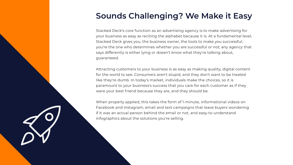## **Sounds Challenging? We Make it Easy**

Stacked Deck's core function as an advertising agency is to make advertising for your business as easy as reciting the alphabet because it is. At a fundamental level, Stacked Deck gives you, the business owner, the tools to make you successful; you're the one who determines whether you are successful or not; any agency that says differently is either lying or doesn't know what they're talking about, guaranteed.

Attracting customers to your business is as easy as making quality, digital content for the world to see. Consumers aren't stupid, and they don't want to be treated like they're dumb. In today's market, individuals make the choices, so it is paramount to your business's success that you care for each customer as if they were your best friend because they are, and they should be.

When properly applied, this takes the form of 1-minute, informational videos on Facebook and Instagram, email and text campaigns that leave buyers wondering if it was an actual person behind the email or not, and easy-to-understand infographics about the solutions you're selling.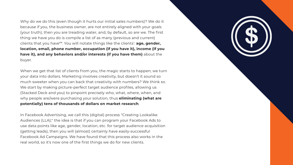Why do we do this (even though it hurts our initial sales numbers)? We do it because if you, the business owner, are not entirely aligned with your goals (your truth), then you are treading water, and, by default, so are we. The first thing we have you do is compile a list of as many (previous and current) clients that you have\*\*. You will notate things like the clients': **age, gender, location, email, phone number, occupation (if you have it), income (if you have it), and any behaviors and/or interests (if you have them)** about the buyer.

When we get that list of clients from you, the magic starts to happen; we turn your data into dollars. Marketing involves creativity, but doesn't it sound so much sweeter when you can back that creativity with numbers? We think so. We start by making picture-perfect target audience profiles, allowing us (Stacked Deck and you) to pinpoint precisely who, what, where, when, and why people are/were purchasing your solution, thus **eliminating (what are potentially) tens of thousands of dollars on market research**.

In Facebook Advertising, we call this (digital) process "Creating Lookalike Audiences (LLA);" the idea is that if you can program your Facebook Ads to use data points like age, gender, location, etc. for target audience acquisition (getting leads), then you will (almost) certainly have easily-successful Facebook Ad Campaigns. We have found that this process also works in the real world, so it's now one of the first things we do for new clients.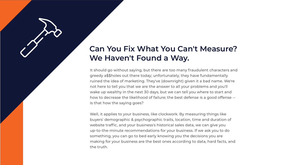### **Can You Fix What You Can't Measure? We Haven't Found a Way.**

It should go without saying, but there are too many fraudulent characters and greedy a\$\$holes out there today; unfortunately, they have fundamentally ruined the idea of marketing. They've (downright) given it a bad name. We're not here to tell you that we are the answer to all your problems and you'll wake up wealthy in the next 30 days, but we can tell you where to start and how to decrease the likelihood of failure; the best defense is a good offense - is that how the saying goes?

Well, it applies to your business, like clockwork. By measuring things like buyers' demographic & psychographic traits, location, time and duration of website traffic, and your business's historical sales data, we can give you up-to-the-minute recommendations for your business. If we ask you to do something, you can go to bed early knowing you the decisions you are making for your business are the best ones according to data, hard facts, and the truth.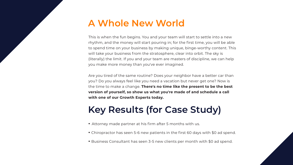## **A Whole New World**

This is when the fun begins. You and your team will start to settle into a new rhythm, and the money will start pouring in; for the first time, you will be able to spend time on your business by making unique, binge-worthy content. This will take your business from the stratosphere, clear into orbit. The sky is (literally) the limit. If you and your team are masters of discipline, we can help you make more money than you've ever imagined.

Are you tired of the same routine? Does your neighbor have a better car than you? Do you always feel like you need a vacation but never get one? Now is the time to make a change. **There's no time like the present to be the best version of yourself, so show us what you're made of and schedule a call with one of our Growth Experts today.** 

# **Key Results (for Case Study)**

- Attorney made partner at his firm after 5 months with us.
- Chiropractor has seen 5-6 new patients in the first 60 days with \$0 ad spend.
- Business Consultant has seen 3-5 new clients per month with \$0 ad spend.